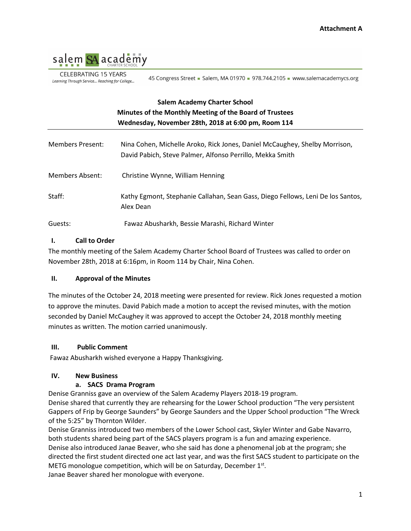

CELEBRATING 15 YEARS Learning Through Service... Reaching for College...

45 Congress Street - Salem, MA 01970 - 978.744.2105 - www.salemacademycs.org

# **Salem Academy Charter School Minutes of the Monthly Meeting of the Board of Trustees Wednesday, November 28th, 2018 at 6:00 pm, Room 114**

| Members Present:       | Nina Cohen, Michelle Aroko, Rick Jones, Daniel McCaughey, Shelby Morrison,<br>David Pabich, Steve Palmer, Alfonso Perrillo, Mekka Smith |
|------------------------|-----------------------------------------------------------------------------------------------------------------------------------------|
| <b>Members Absent:</b> | Christine Wynne, William Henning                                                                                                        |
| Staff:                 | Kathy Egmont, Stephanie Callahan, Sean Gass, Diego Fellows, Leni De los Santos,<br>Alex Dean                                            |
| Guests:                | Fawaz Abusharkh, Bessie Marashi, Richard Winter                                                                                         |

### **I. Call to Order**

The monthly meeting of the Salem Academy Charter School Board of Trustees was called to order on November 28th, 2018 at 6:16pm, in Room 114 by Chair, Nina Cohen.

#### **II. Approval of the Minutes**

The minutes of the October 24, 2018 meeting were presented for review. Rick Jones requested a motion to approve the minutes. David Pabich made a motion to accept the revised minutes, with the motion seconded by Daniel McCaughey it was approved to accept the October 24, 2018 monthly meeting minutes as written. The motion carried unanimously.

#### **III. Public Comment**

Fawaz Abusharkh wished everyone a Happy Thanksgiving.

### **IV. New Business**

#### **a. SACS Drama Program**

Denise Granniss gave an overview of the Salem Academy Players 2018-19 program.

Denise shared that currently they are rehearsing for the Lower School production "The very persistent Gappers of Frip by George Saunders" by George Saunders and the Upper School production "The Wreck of the 5:25" by Thornton Wilder.

Denise Granniss introduced two members of the Lower School cast, Skyler Winter and Gabe Navarro, both students shared being part of the SACS players program is a fun and amazing experience. Denise also introduced Janae Beaver, who she said has done a phenomenal job at the program; she directed the first student directed one act last year, and was the first SACS student to participate on the METG monologue competition, which will be on Saturday, December 1st. Janae Beaver shared her monologue with everyone.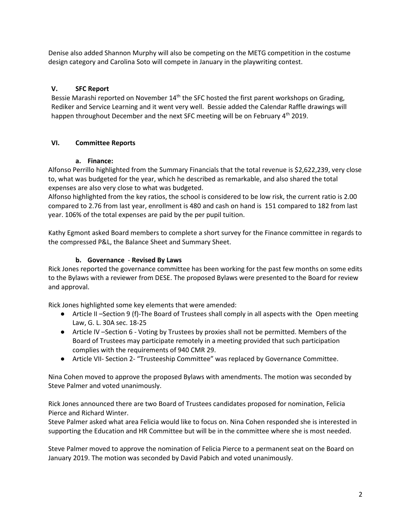Denise also added Shannon Murphy will also be competing on the METG competition in the costume design category and Carolina Soto will compete in January in the playwriting contest.

## **V. SFC Report**

Bessie Marashi reported on November 14<sup>th</sup> the SFC hosted the first parent workshops on Grading, Rediker and Service Learning and it went very well. Bessie added the Calendar Raffle drawings will happen throughout December and the next SFC meeting will be on February 4<sup>th</sup> 2019.

## **VI. Committee Reports**

### **a. Finance:**

Alfonso Perrillo highlighted from the Summary Financials that the total revenue is \$2,622,239, very close to, what was budgeted for the year, which he described as remarkable, and also shared the total expenses are also very close to what was budgeted.

Alfonso highlighted from the key ratios, the school is considered to be low risk, the current ratio is 2.00 compared to 2.76 from last year, enrollment is 480 and cash on hand is 151 compared to 182 from last year. 106% of the total expenses are paid by the per pupil tuition.

Kathy Egmont asked Board members to complete a short survey for the Finance committee in regards to the compressed P&L, the Balance Sheet and Summary Sheet.

## **b. Governance** - **Revised By Laws**

Rick Jones reported the governance committee has been working for the past few months on some edits to the Bylaws with a reviewer from DESE. The proposed Bylaws were presented to the Board for review and approval.

Rick Jones highlighted some key elements that were amended:

- Article II –Section 9 (f)-The Board of Trustees shall comply in all aspects with the Open meeting Law, G. L. 30A sec. 18-25
- Article IV –Section 6 Voting by Trustees by proxies shall not be permitted. Members of the Board of Trustees may participate remotely in a meeting provided that such participation complies with the requirements of 940 CMR 29.
- Article VII- Section 2- "Trusteeship Committee" was replaced by Governance Committee.

Nina Cohen moved to approve the proposed Bylaws with amendments. The motion was seconded by Steve Palmer and voted unanimously.

Rick Jones announced there are two Board of Trustees candidates proposed for nomination, Felicia Pierce and Richard Winter.

Steve Palmer asked what area Felicia would like to focus on. Nina Cohen responded she is interested in supporting the Education and HR Committee but will be in the committee where she is most needed.

Steve Palmer moved to approve the nomination of Felicia Pierce to a permanent seat on the Board on January 2019. The motion was seconded by David Pabich and voted unanimously.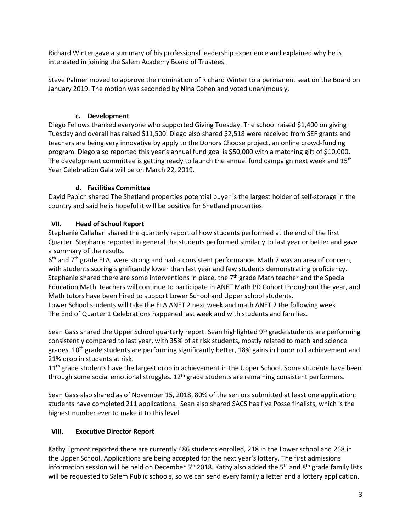Richard Winter gave a summary of his professional leadership experience and explained why he is interested in joining the Salem Academy Board of Trustees.

Steve Palmer moved to approve the nomination of Richard Winter to a permanent seat on the Board on January 2019. The motion was seconded by Nina Cohen and voted unanimously.

## **c. Development**

Diego Fellows thanked everyone who supported Giving Tuesday. The school raised \$1,400 on giving Tuesday and overall has raised \$11,500. Diego also shared \$2,518 were received from SEF grants and teachers are being very innovative by apply to the Donors Choose project, an online crowd-funding program. Diego also reported this year's annual fund goal is \$50,000 with a matching gift of \$10,000. The development committee is getting ready to launch the annual fund campaign next week and  $15<sup>th</sup>$ Year Celebration Gala will be on March 22, 2019.

## **d. Facilities Committee**

David Pabich shared The Shetland properties potential buyer is the largest holder of self-storage in the country and said he is hopeful it will be positive for Shetland properties.

## **VII. Head of School Report**

Stephanie Callahan shared the quarterly report of how students performed at the end of the first Quarter. Stephanie reported in general the students performed similarly to last year or better and gave a summary of the results.

 $6<sup>th</sup>$  and 7<sup>th</sup> grade ELA, were strong and had a consistent performance. Math 7 was an area of concern, with students scoring significantly lower than last year and few students demonstrating proficiency. Stephanie shared there are some interventions in place, the  $7<sup>th</sup>$  grade Math teacher and the Special Education Math teachers will continue to participate in ANET Math PD Cohort throughout the year, and Math tutors have been hired to support Lower School and Upper school students.

Lower School students will take the ELA ANET 2 next week and math ANET 2 the following week The End of Quarter 1 Celebrations happened last week and with students and families.

Sean Gass shared the Upper School quarterly report. Sean highlighted 9<sup>th</sup> grade students are performing consistently compared to last year, with 35% of at risk students, mostly related to math and science grades.  $10^{th}$  grade students are performing significantly better, 18% gains in honor roll achievement and 21% drop in students at risk.

 $11<sup>th</sup>$  grade students have the largest drop in achievement in the Upper School. Some students have been through some social emotional struggles.  $12<sup>th</sup>$  grade students are remaining consistent performers.

Sean Gass also shared as of November 15, 2018, 80% of the seniors submitted at least one application; students have completed 211 applications. Sean also shared SACS has five Posse finalists, which is the highest number ever to make it to this level.

## **VIII. Executive Director Report**

Kathy Egmont reported there are currently 486 students enrolled, 218 in the Lower school and 268 in the Upper School. Applications are being accepted for the next year's lottery. The first admissions information session will be held on December 5<sup>th</sup> 2018. Kathy also added the 5<sup>th</sup> and 8<sup>th</sup> grade family lists will be requested to Salem Public schools, so we can send every family a letter and a lottery application.